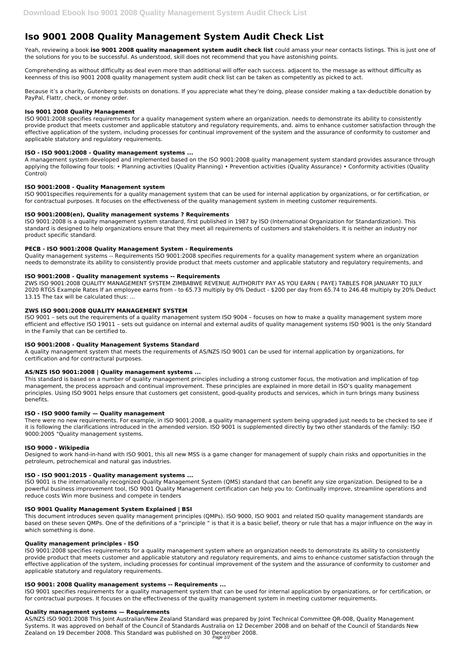# **Iso 9001 2008 Quality Management System Audit Check List**

Yeah, reviewing a book **iso 9001 2008 quality management system audit check list** could amass your near contacts listings. This is just one of the solutions for you to be successful. As understood, skill does not recommend that you have astonishing points.

Comprehending as without difficulty as deal even more than additional will offer each success. adjacent to, the message as without difficulty as keenness of this iso 9001 2008 quality management system audit check list can be taken as competently as picked to act.

Because it's a charity, Gutenberg subsists on donations. If you appreciate what they're doing, please consider making a tax-deductible donation by PayPal, Flattr, check, or money order.

## **Iso 9001 2008 Quality Management**

ISO 9001:2008 specifies requirements for a quality management system where an organization. needs to demonstrate its ability to consistently provide product that meets customer and applicable statutory and regulatory requirements, and. aims to enhance customer satisfaction through the effective application of the system, including processes for continual improvement of the system and the assurance of conformity to customer and applicable statutory and regulatory requirements.

# **ISO - ISO 9001:2008 - Quality management systems ...**

ZWS ISO 9001:2008 QUALITY MANAGEMENT SYSTEM ZIMBABWE REVENUE AUTHORITY PAY AS YOU EARN ( PAYE) TABLES FOR JANUARY TO JULY 2020 RTGS Example Rates If an employee earns from - to 65.73 multiply by 0% Deduct - \$200 per day from 65.74 to 246.48 multiply by 20% Deduct 13.15 The tax will be calculated thus: ...

A management system developed and implemented based on the ISO 9001:2008 quality management system standard provides assurance through applying the following four tools: • Planning activities (Quality Planning) • Prevention activities (Quality Assurance) • Conformity activities (Quality Control)

## **ISO 9001:2008 - Quality Management system**

ISO 9001specifies requirements for a quality management system that can be used for internal application by organizations, or for certification, or for contractual purposes. It focuses on the effectiveness of the quality management system in meeting customer requirements.

# **ISO 9001:2008(en), Quality management systems ? Requirements**

ISO 9001:2008 is a quality management system standard, first published in 1987 by ISO (International Organization for Standardization). This standard is designed to help organizations ensure that they meet all requirements of customers and stakeholders. It is neither an industry nor product specific standard.

## **PECB - ISO 9001:2008 Quality Management System - Requirements**

Quality management systems -- Requirements ISO 9001:2008 specifies requirements for a quality management system where an organization needs to demonstrate its ability to consistently provide product that meets customer and applicable statutory and regulatory requirements, and

## **ISO 9001:2008 - Quality management systems -- Requirements**

## **ZWS ISO 9001:2008 QUALITY MANAGEMENT SYSTEM**

ISO 9001 – sets out the requirements of a quality management system ISO 9004 – focuses on how to make a quality management system more efficient and effective ISO 19011 – sets out guidance on internal and external audits of quality management systems ISO 9001 is the only Standard in the Family that can be certified to.

## **ISO 9001:2008 - Quality Management Systems Standard**

A quality management system that meets the requirements of AS/NZS ISO 9001 can be used for internal application by organizations, for certification and for contractural purposes.

# **AS/NZS ISO 9001:2008 | Quality management systems ...**

This standard is based on a number of quality management principles including a strong customer focus, the motivation and implication of top management, the process approach and continual improvement. These principles are explained in more detail in ISO's quality management principles. Using ISO 9001 helps ensure that customers get consistent, good-quality products and services, which in turn brings many business benefits.

## **ISO - ISO 9000 family — Quality management**

There were no new requirements. For example, in ISO 9001:2008, a quality management system being upgraded just needs to be checked to see if it is following the clarifications introduced in the amended version. ISO 9001 is supplemented directly by two other standards of the family: ISO 9000:2005 "Quality management systems.

## **ISO 9000 - Wikipedia**

Designed to work hand-in-hand with ISO 9001, this all new MSS is a game changer for management of supply chain risks and opportunities in the petroleum, petrochemical and natural gas industries.

## **ISO - ISO 9001:2015 - Quality management systems ...**

ISO 9001 is the internationally recognized Quality Management System (QMS) standard that can benefit any size organization. Designed to be a powerful business improvement tool, ISO 9001 Quality Management certification can help you to: Continually improve, streamline operations and

#### **ISO 9001 Quality Management System Explained | BSI**

This document introduces seven quality management principles (QMPs). ISO 9000, ISO 9001 and related ISO quality management standards are based on these seven QMPs. One of the definitions of a "principle " is that it is a basic belief, theory or rule that has a major influence on the way in which something is done.

#### **Quality management principles - ISO**

ISO 9001:2008 specifies requirements for a quality management system where an organization needs to demonstrate its ability to consistently provide product that meets customer and applicable statutory and regulatory requirements, and aims to enhance customer satisfaction through the effective application of the system, including processes for continual improvement of the system and the assurance of conformity to customer and applicable statutory and regulatory requirements.

#### **ISO 9001: 2008 Quality management systems -- Requirements ...**

ISO 9001 specifies requirements for a quality management system that can be used for internal application by organizations, or for certification, or for contractual purposes. It focuses on the effectiveness of the quality management system in meeting customer requirements.

#### **Quality management systems — Requirements**

AS/NZS ISO 9001:2008 This Joint Australian/New Zealand Standard was prepared by Joint Technical Committee QR-008, Quality Management Systems. It was approved on behalf of the Council of Standards Australia on 12 December 2008 and on behalf of the Council of Standards New Zealand on 19 December 2008. This Standard was published on 30 December 2008.